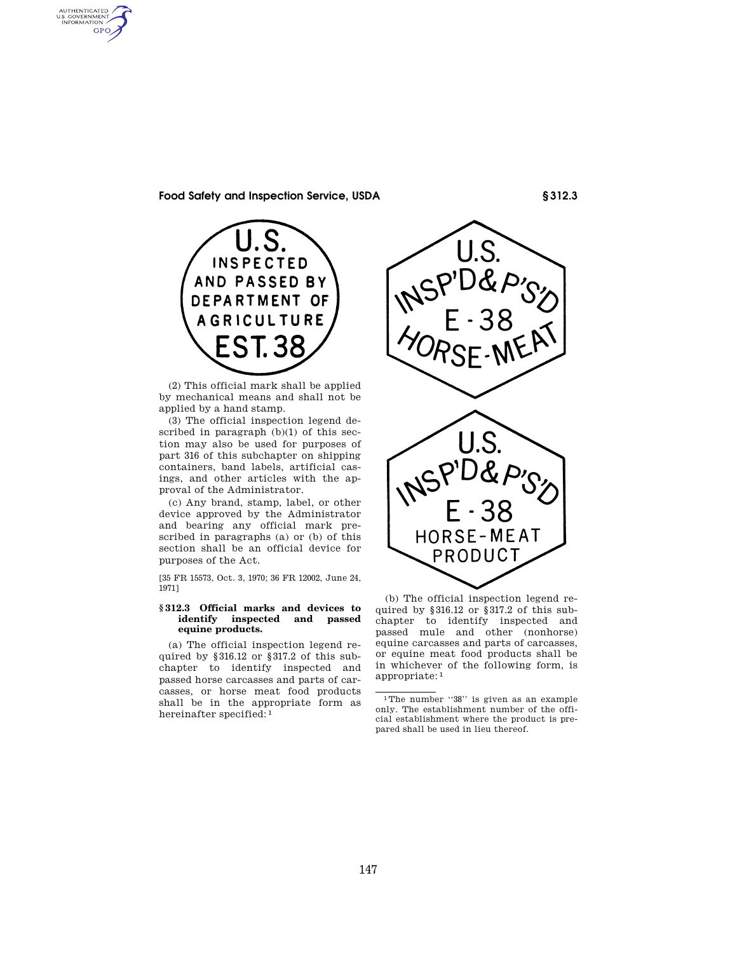AUTHENTICATED<br>U.S. GOVERNMENT<br>INFORMATION GPO

## **Food Safety and Inspection Service, USDA § 312.3**



(2) This official mark shall be applied by mechanical means and shall not be applied by a hand stamp.

(3) The official inspection legend described in paragraph (b)(1) of this section may also be used for purposes of part 316 of this subchapter on shipping containers, band labels, artificial casings, and other articles with the approval of the Administrator.

(c) Any brand, stamp, label, or other device approved by the Administrator and bearing any official mark prescribed in paragraphs (a) or (b) of this section shall be an official device for purposes of the Act.

[35 FR 15573, Oct. 3, 1970; 36 FR 12002, June 24, 1971]

### **§ 312.3 Official marks and devices to identify inspected and passed equine products.**

(a) The official inspection legend required by §316.12 or §317.2 of this subchapter to identify inspected and passed horse carcasses and parts of carcasses, or horse meat food products shall be in the appropriate form as hereinafter specified: 1



(b) The official inspection legend required by §316.12 or §317.2 of this subchapter to identify inspected and passed mule and other (nonhorse) equine carcasses and parts of carcasses, or equine meat food products shall be in whichever of the following form, is appropriate: 1

<sup>1</sup>The number ''38'' is given as an example only. The establishment number of the official establishment where the product is prepared shall be used in lieu thereof.